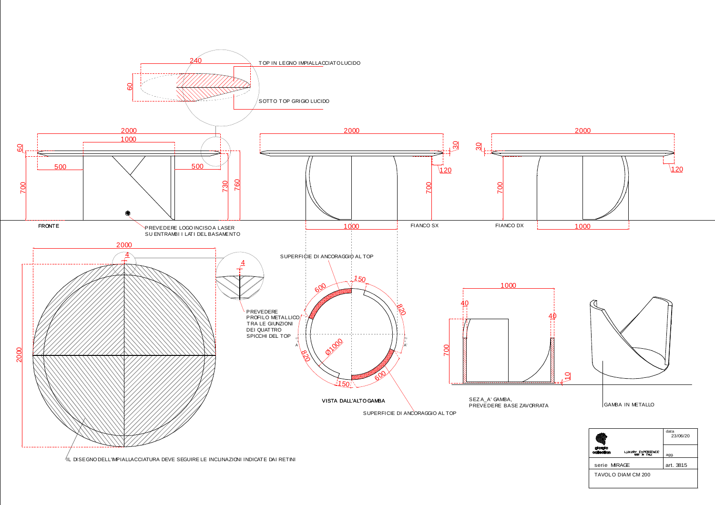